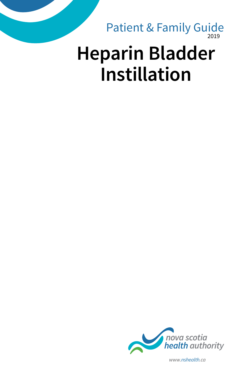2019 **Heparin Bladder Instillation** Patient & Family Guide



*www.nshealth.ca*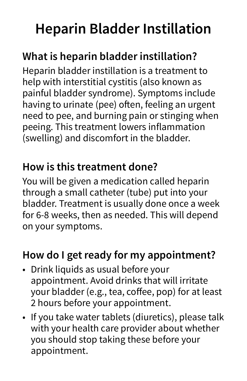# **Heparin Bladder Instillation**

## **What is heparin bladder instillation?**

Heparin bladder instillation is a treatment to help with interstitial cystitis (also known as painful bladder syndrome). Symptoms include having to urinate (pee) often, feeling an urgent need to pee, and burning pain or stinging when peeing. This treatment lowers inflammation (swelling) and discomfort in the bladder.

#### **How is this treatment done?**

You will be given a medication called heparin through a small catheter (tube) put into your bladder. Treatment is usually done once a week for 6-8 weeks, then as needed. This will depend on your symptoms.

#### **How do I get ready for my appointment?**

- Drink liquids as usual before your appointment. Avoid drinks that will irritate your bladder (e.g., tea, coffee, pop) for at least 2 hours before your appointment.
- If you take water tablets (diuretics), please talk with your health care provider about whether you should stop taking these before your appointment.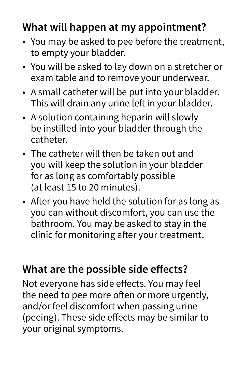### **What will happen at my appointment?**

- You may be asked to pee before the treatment, to empty your bladder.
- You will be asked to lay down on a stretcher or exam table and to remove your underwear.
- A small catheter will be put into your bladder. This will drain any urine left in your bladder.
- A solution containing heparin will slowly be instilled into your bladder through the catheter.
- The catheter will then be taken out and you will keep the solution in your bladder for as long as comfortably possible (at least 15 to 20 minutes).
- After you have held the solution for as long as you can without discomfort, you can use the bathroom. You may be asked to stay in the clinic for monitoring after your treatment.

#### **What are the possible side effects?**

Not everyone has side effects. You may feel the need to pee more often or more urgently, and/or feel discomfort when passing urine (peeing). These side effects may be similar to your original symptoms.